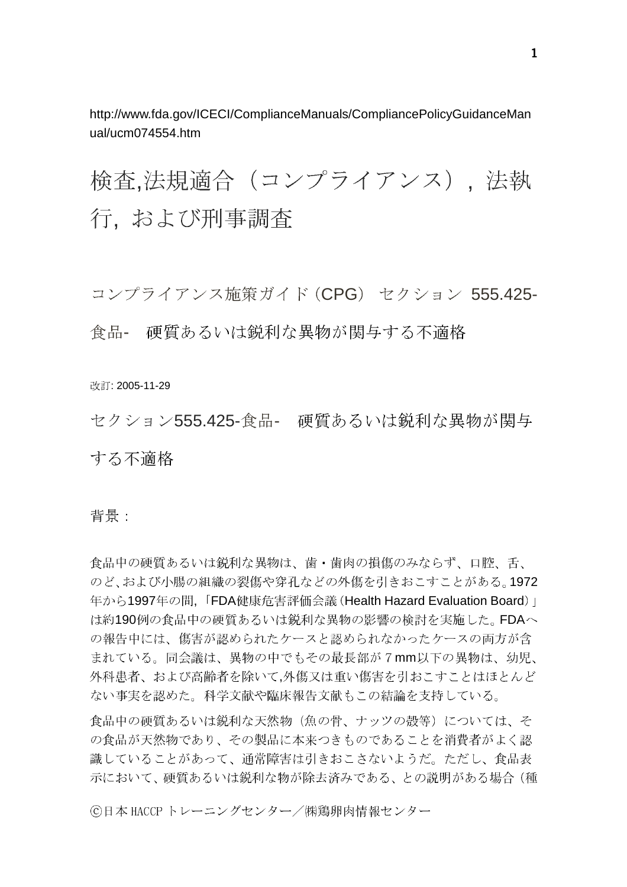http://www.fda.gov/ICECI/ComplianceManuals/CompliancePolicyGuidanceMan ual/ucm074554.htm

検査.法規適合 (コンプライアンス). 法執 行. および刑事調査

コンプライアンス施策ガイド (CPG) セクション 555.425-食品- 硬質あるいは鋭利な異物が関与する不適格

改訂: 2005-11-29

セクション555.425-食品- 硬質あるいは鋭利な異物が関与 する不滴格

背景:

食品中の硬質あるいは鋭利な異物は、歯・歯肉の損傷のみならず、口腔、舌、 のど、および小腸の組織の裂傷や穿孔などの外傷を引きおこすことがある。1972 年から1997年の間、「FDA健康危害評価会議 (Health Hazard Evaluation Board)」 は約190例の食品中の硬質あるいは鋭利な異物の影響の検討を実施した。FDAへ の報告中には、傷害が認められたケースと認められなかったケースの両方が含 まれている。同会議は、異物の中でもその最長部が7mm以下の異物は、幼児、 外科患者、および高齢者を除いて、外傷又は重い傷害を引おこすことはほとんど ない事実を認めた。科学文献や臨床報告文献もこの結論を支持している。

食品中の硬質あるいは鋭利な天然物(魚の骨、ナッツの殻等)については、そ の食品が天然物であり、その製品に本来つきものであることを消費者がよく認 識していることがあって、通常障害は引きおこさないようだ。ただし、食品表 示において、硬質あるいは鋭利な物が除去済みである、との説明がある場合 (種

©日本 HACCP トレーニングセンター/㈱鶏卵肉情報センター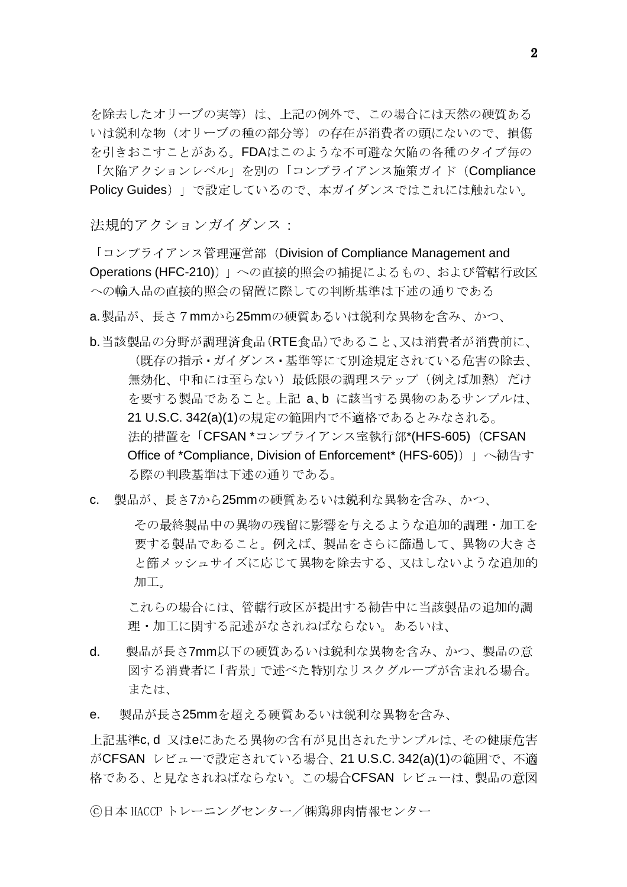を除去したオリーブの実等)は、上記の例外で、この場合には天然の硬質ある いは鋭利な物(オリーブの種の部分等)の存在が消費者の頭にないので、損傷 を引きおこすことがある。FDAはこのような不可避な欠陥の各種のタイプ毎の 「欠陥アクションレベル」を別の「コンプライアンス施策ガイド (Compliance Policy Guides) 」で設定しているので、本ガイダンスではこれには触れない。

法規的アクションガイダンス:

「コンプライアンス管理運営部 (Division of Compliance Management and Operations (HFC-210)) 」への直接的照会の捕捉によるもの、および管轄行政区 への輸入品の直接的照会の留置に際しての判断基準は下述の通りである

a.製品が、長さ7mmから25mmの硬質あるいは鋭利な異物を含み、かつ、

- b. 当該製品の分野が調理済食品(RTE食品)であること、又は消費者が消費前に、 (既存の指示·ガイダンス·基準等にて別途規定されている危害の除去、 無効化、中和には至らない)最低限の調理ステップ(例えば加熱)だけ を要する製品であること。上記 a.b に該当する異物のあるサンプルは、 21 U.S.C. 342(a)(1)の規定の範囲内で不適格であるとみなされる。 法的措置を「CFSAN \*コンプライアンス室執行部\*(HFS-605) (CFSAN Office of \*Compliance. Division of Enforcement\* (HFS-605)) | へ勧告す る際の判段基準は下述の通りである。
- 製品が、長さ7から25mmの硬質あるいは鋭利な異物を含み、かつ、  $C_{\cdot}$

その最終製品中の異物の残留に影響を与えるような追加的調理・加工を 要する製品であること。例えば、製品をさらに篩過して、異物の大きさ と篩メッシュサイズに応じて異物を除去する、又はしないような追加的 加工。

これらの場合には、管轄行政区が提出する勧告中に当該製品の追加的調 理・加工に関する記述がなされねばならない。あるいは、

- 製品が長さ7mm以下の硬質あるいは鋭利な異物を含み、かつ、製品の意  $d_{\cdot}$ 図する消費者に「背景」で述べた特別なリスクグループが含まれる場合。 または.
- 製品が長さ25mmを超える硬質あるいは鋭利な異物を含み、  $\mathsf{e}$ .

上記基準c.d 又はeにあたる異物の含有が見出されたサンプルは、その健康危害 がCFSAN レビューで設定されている場合、21 U.S.C. 342(a)(1)の範囲で、不適 格である、と見なされねばならない。この場合CFSAN レビューは、製品の意図

©日本 HACCP トレーニングセンター/㈱鶏卵肉情報センター